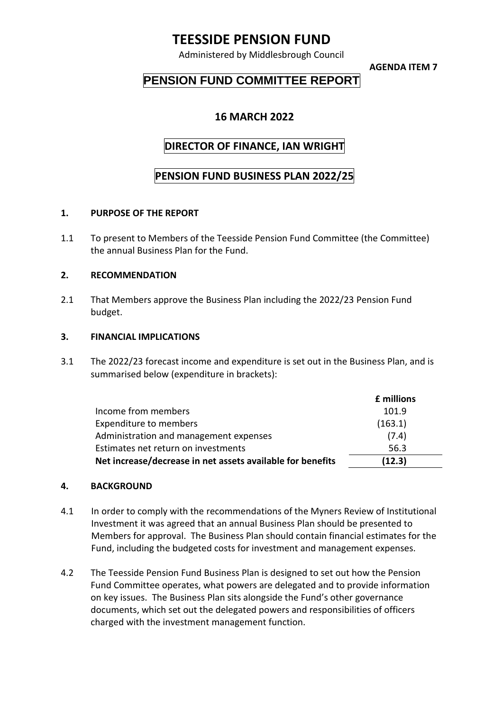# **TEESSIDE PENSION FUND**

Administered by Middlesbrough Council

**AGENDA ITEM 7**

## **PENSION FUND COMMITTEE REPORT**

### **16 MARCH 2022**

## **DIRECTOR OF FINANCE, IAN WRIGHT**

### **PENSION FUND BUSINESS PLAN 2022/25**

### **1. PURPOSE OF THE REPORT**

1.1 To present to Members of the Teesside Pension Fund Committee (the Committee) the annual Business Plan for the Fund.

### **2. RECOMMENDATION**

2.1 That Members approve the Business Plan including the 2022/23 Pension Fund budget.

#### **3. FINANCIAL IMPLICATIONS**

3.1 The 2022/23 forecast income and expenditure is set out in the Business Plan, and is summarised below (expenditure in brackets):

|                                                            | £ millions |
|------------------------------------------------------------|------------|
| Income from members                                        | 101.9      |
| Expenditure to members                                     | (163.1)    |
| Administration and management expenses                     | (7.4)      |
| Estimates net return on investments                        | 56.3       |
| Net increase/decrease in net assets available for benefits | (12.3)     |

#### **4. BACKGROUND**

- 4.1 In order to comply with the recommendations of the Myners Review of Institutional Investment it was agreed that an annual Business Plan should be presented to Members for approval. The Business Plan should contain financial estimates for the Fund, including the budgeted costs for investment and management expenses.
- 4.2 The Teesside Pension Fund Business Plan is designed to set out how the Pension Fund Committee operates, what powers are delegated and to provide information on key issues. The Business Plan sits alongside the Fund's other governance documents, which set out the delegated powers and responsibilities of officers charged with the investment management function.